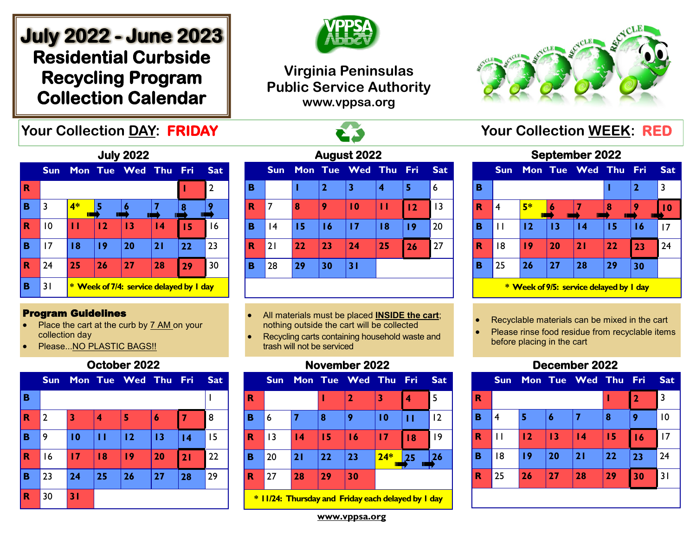# **July 2022 - June 2023 Residential Curbside Recycling Program Collection Calendar**





## **Virginia Peninsulas Public Service Authority www.vppsa.org**



| <b>July 2022</b> |            |     |    |                                                |                 |     |                |
|------------------|------------|-----|----|------------------------------------------------|-----------------|-----|----------------|
|                  | <b>Sun</b> |     |    | Mon Tue Wed                                    | Thu             | Fri | <b>Sat</b>     |
| R                |            |     |    |                                                |                 |     | $\overline{2}$ |
| в                | 3          | 4*  |    |                                                |                 | 8   |                |
| R                | 10         | ' 1 | 12 | $\overline{13}$                                | $\overline{14}$ | 15  | 16             |
| в                | 17         | 18  | 19 | 20                                             | 21              | 22  | 23             |
| R                | 24         | 25  | 26 | 27                                             | 28              | 29  | 30             |
| в                | 31         |     |    | <b>* Week of 7/4: service delayed by I day</b> |                 |     |                |

#### Program Guidelines

- Place the cart at the curb by 7 AM on your collection day
- Please...NO PLASTIC BAGS!!

### **October 2022**

|             | <b>Sun</b>     |                 |    | Mon Tue Wed Thu Fri |    |    | <b>Sat</b> |
|-------------|----------------|-----------------|----|---------------------|----|----|------------|
| B           |                |                 |    |                     |    |    |            |
| $\mathbf R$ | $\overline{2}$ | 3               | 4  | 5                   | 6  |    | 8          |
| в           | 9              | $\overline{10}$ | П  | 12                  | 13 | 4  | 15         |
| $\mathbf R$ | 16             | 17              | 18 | 19                  | 20 | 21 | 22         |
| B           | 23             | 24              | 25 | 26                  | 27 | 28 | 29         |
| $\mathbf R$ | 30             | 31              |    |                     |    |    |            |

| August 2022 |            |    |                |                 |    |     |            |
|-------------|------------|----|----------------|-----------------|----|-----|------------|
|             | <b>Sun</b> |    |                | Mon Tue Wed Thu |    | Fri | <b>Sat</b> |
| в           |            |    | $\overline{2}$ | 3               | 4  | 5   | 6          |
| R           | 7          | 8  | 9              | 10              | П  | 12  | 13         |
| в           | 4          | 15 | 16             | 17              | 18 | 19  | 20         |
| R           | 21         | 22 | 23             | 24              | 25 | 26  | 27         |
| в           | 28         | 29 | 30             | 31              |    |     |            |
|             |            |    |                |                 |    |     |            |

- All materials must be placed **INSIDE the cart**; nothing outside the cart will be collected
- Recycling carts containing household waste and trash will not be serviced

## **November 2022**

|   | <b>Sun</b> |                 |    | Mon Tue Wed Thu Fri |       |         | <b>Sat</b> |
|---|------------|-----------------|----|---------------------|-------|---------|------------|
| R |            |                 | ı  | 2                   | 3     | 4       | 5          |
| B | 6          |                 | 8  | 9                   | 10    | п       | 12         |
| R | 3          | $\overline{14}$ | 15 | 16                  | 17    | 18      | 9          |
| в | 20         | 21              | 22 | 23                  | $24*$ | 25<br>Ш | 26         |
| R | 27         | 28              | 29 | 30                  |       |         |            |
|   |            |                 |    |                     |       |         |            |

**\* 11/24: Thursday and Friday each delayed by 1 day**

# **September 2022**

|                                         | <b>Sun</b> |         |    | Mon Tue Wed Thu |    | Fri | <b>Sat</b>      |
|-----------------------------------------|------------|---------|----|-----------------|----|-----|-----------------|
| B                                       |            |         |    |                 |    | 2   | 3               |
| R                                       | 4          | 5*<br>Ш |    |                 |    |     | $\overline{10}$ |
| B                                       |            | 12      | 13 | 14              | 15 | 16  | 17              |
| $\mathbf R$                             | 18         | 19      | 20 | 21              | 22 | 23  | 24              |
| B                                       | 25         | 26      | 27 | 28              | 29 | 30  |                 |
| * Week of 9/5: service delayed by I day |            |         |    |                 |    |     |                 |

• Recyclable materials can be mixed in the cart

Please rinse food residue from recyclable items before placing in the cart

## **December 2022**

|                         | <b>Sun</b> |    |    | Mon Tue Wed Thu Fri |    |             | <b>Sat</b> |
|-------------------------|------------|----|----|---------------------|----|-------------|------------|
| R                       |            |    |    |                     |    | $\mathbf 2$ | 3          |
| B                       | 4          | 5  | 6  | 7                   | 8  | 9           | 10         |
| $\overline{\mathbf{R}}$ | П          | 12 | 13 | 4                   | 15 | 16          | 17         |
| B                       | 18         | 19 | 20 | 21                  | 22 | 23          | 24         |
| $\mathbf R$             | 25         | 26 | 27 | 28                  | 29 | 30          | 31         |
|                         |            |    |    |                     |    |             |            |

**www.vppsa.org**